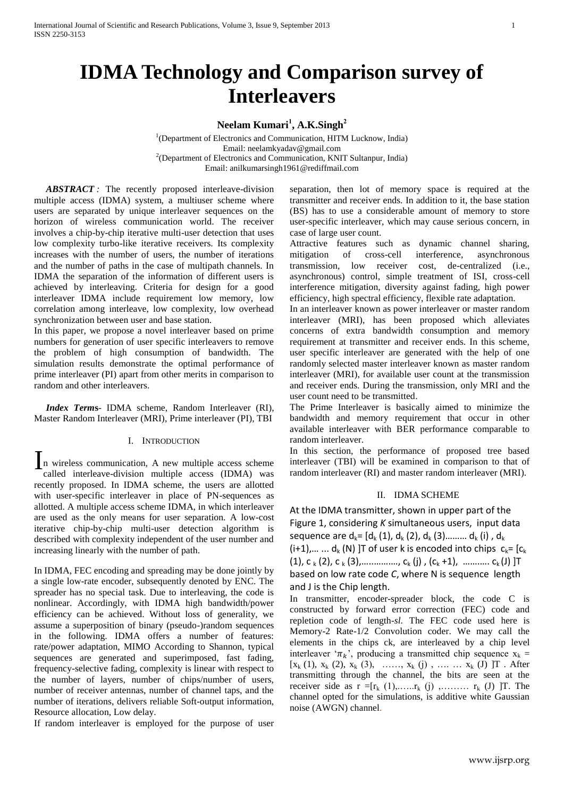# **IDMA Technology and Comparison survey of Interleavers**

# **Neelam Kumari<sup>1</sup> , A.K.Singh<sup>2</sup>**

<sup>1</sup>(Department of Electronics and Communication, HITM Lucknow, India) Email: neelamkyadav@gmail.com <sup>2</sup>(Department of Electronics and Communication, KNIT Sultanpur, India) Email: anilkumarsingh1961@rediffmail.com

 *ABSTRACT :* The recently proposed interleave-division multiple access (IDMA) system, a multiuser scheme where users are separated by unique interleaver sequences on the horizon of wireless communication world. The receiver involves a chip-by-chip iterative multi-user detection that uses low complexity turbo-like iterative receivers. Its complexity increases with the number of users, the number of iterations and the number of paths in the case of multipath channels. In IDMA the separation of the information of different users is achieved by interleaving. Criteria for design for a good interleaver IDMA include requirement low memory, low correlation among interleave, low complexity, low overhead synchronization between user and base station.

In this paper, we propose a novel interleaver based on prime numbers for generation of user specific interleavers to remove the problem of high consumption of bandwidth. The simulation results demonstrate the optimal performance of prime interleaver (PI) apart from other merits in comparison to random and other interleavers.

 *Index Term***s**- IDMA scheme, Random Interleaver (RI), Master Random Interleaver (MRI), Prime interleaver (PI), TBI

# I. INTRODUCTION

In wireless communication, A new multiple access scheme<br>called interleave-division multiple access (IDMA) was called interleave-division multiple access (IDMA) was recently proposed. In IDMA scheme, the users are allotted with user-specific interleaver in place of PN-sequences as allotted. A multiple access scheme IDMA, in which interleaver are used as the only means for user separation. A low-cost iterative chip-by-chip multi-user detection algorithm is described with complexity independent of the user number and increasing linearly with the number of path.

In IDMA, FEC encoding and spreading may be done jointly by a single low-rate encoder, subsequently denoted by ENC. The spreader has no special task. Due to interleaving, the code is nonlinear. Accordingly, with IDMA high bandwidth/power efficiency can be achieved. Without loss of generality, we assume a superposition of binary (pseudo-)random sequences in the following. IDMA offers a number of features: rate/power adaptation, MIMO According to Shannon, typical sequences are generated and superimposed, fast fading, frequency-selective fading, complexity is linear with respect to the number of layers, number of chips/number of users, number of receiver antennas, number of channel taps, and the number of iterations, delivers reliable Soft-output information, Resource allocation, Low delay.

If random interleaver is employed for the purpose of user

separation, then lot of memory space is required at the transmitter and receiver ends. In addition to it, the base station (BS) has to use a considerable amount of memory to store user-specific interleaver, which may cause serious concern, in case of large user count.

Attractive features such as dynamic channel sharing, mitigation of cross-cell interference, asynchronous transmission, low receiver cost, de-centralized (i.e., asynchronous) control, simple treatment of ISI, cross-cell interference mitigation, diversity against fading, high power efficiency, high spectral efficiency, flexible rate adaptation.

In an interleaver known as power interleaver or master random interleaver (MRI), has been proposed which alleviates concerns of extra bandwidth consumption and memory requirement at transmitter and receiver ends. In this scheme, user specific interleaver are generated with the help of one randomly selected master interleaver known as master random interleaver (MRI), for available user count at the transmission and receiver ends. During the transmission, only MRI and the user count need to be transmitted.

The Prime Interleaver is basically aimed to minimize the bandwidth and memory requirement that occur in other available interleaver with BER performance comparable to random interleaver.

In this section, the performance of proposed tree based interleaver (TBI) will be examined in comparison to that of random interleaver (RI) and master random interleaver (MRI).

# II. IDMA SCHEME

At the IDMA transmitter, shown in upper part of the Figure 1, considering *K* simultaneous users, input data sequence are  $d_k = [d_k (1), d_k (2), d_k (3), \ldots, d_k (i)$ ,  $d_k$  $(i+1),......$  d<sub>k</sub> (N) ]T of user k is encoded into chips  $c_k = [c_k]$  $(1)$ , C  $_{k}$  (2), C  $_{k}$  (3),............., C<sub>k</sub> (j), (C<sub>k</sub> +1), ............ C<sub>k</sub>(J) ]T based on low rate code *C*, where N is sequence length and J is the Chip length.

In transmitter, encoder-spreader block, the code C is constructed by forward error correction (FEC) code and repletion code of length-*sl*. The FEC code used here is Memory-2 Rate-1/2 Convolution coder. We may call the elements in the chips ck, are interleaved by a chip level interleaver ' $\pi_k$ ', producing a transmitted chip sequence  $x_k =$  $[x_k (1), x_k (2), x_k (3), \ldots, x_k (j), \ldots, x_k (J) ]$  T. After transmitting through the channel, the bits are seen at the receiver side as  $r = [r_k (1), \ldots, r_k (j), \ldots, r_k (J)]$  T. The channel opted for the simulations, is additive white Gaussian noise (AWGN) channel.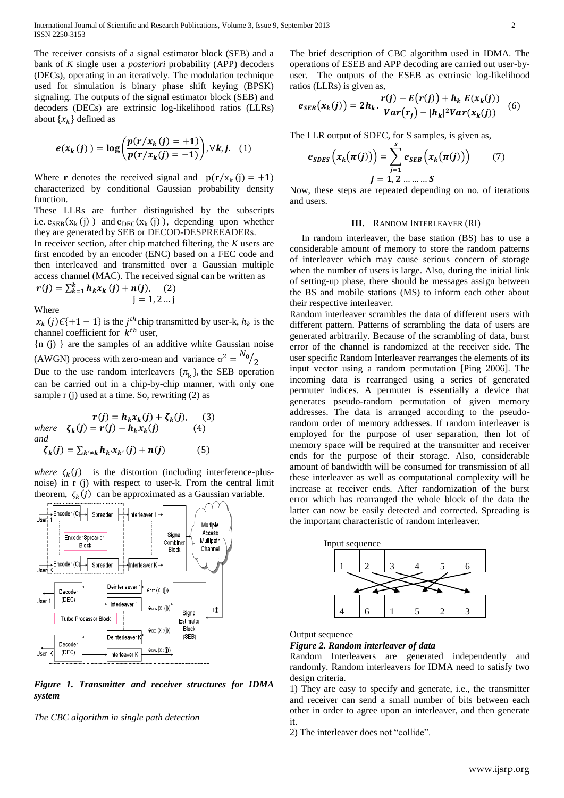The receiver consists of a signal estimator block (SEB) and a bank of *K* single user a *posteriori* probability (APP) decoders (DECs), operating in an iteratively. The modulation technique used for simulation is binary phase shift keying (BPSK) signaling. The outputs of the signal estimator block (SEB) and decoders (DECs) are extrinsic log-likelihood ratios (LLRs) about  $\{x_k\}$  defined as

$$
e(x_k(j)) = \log\left(\frac{p(r/x_k(j) = +1)}{p(r/x_k(j) = -1)}\right), \forall k, j. \quad (1)
$$

Where **r** denotes the received signal and  $p(r/x_k(j) = +1)$ characterized by conditional Gaussian probability density function.

These LLRs are further distinguished by the subscripts i.e.  $e_{\text{SEB}}(x_k(j))$  and  $e_{\text{DEC}}(x_k(j))$ , depending upon whether they are generated by SEB or DECOD-DESPREEADERs.

In receiver section, after chip matched filtering, the *K* users are first encoded by an encoder (ENC) based on a FEC code and then interleaved and transmitted over a Gaussian multiple access channel (MAC). The received signal can be written as

$$
r(j) = \sum_{k=1}^{k} h_k x_k (j) + n(j), \quad (2)
$$
  
j = 1, 2 ... j

Where

 $x_k$  (*j*) $\epsilon$ {+1 – 1} is the *j*<sup>th</sup> chip transmitted by user-k,  $h_k$  is the channel coefficient for  $k^{th}$  user,

{n (j) } are the samples of an additive white Gaussian noise (AWGN) process with zero-mean and variance  $\sigma^2 = N$  $/2$ 

Due to the use random interleavers  $\{\pi_k\}$ , the SEB operation can be carried out in a chip-by-chip manner, with only one sample  $r$  (j) used at a time. So, rewriting  $(2)$  as

$$
r(j) = h_k x_k(j) + \zeta_k(j), \quad (3)
$$
  
where  $\zeta_k(j) = r(j) - h_k x_k(j)$  (4)  
and  
 $\zeta_k(j) = \sum_{k' \neq k} h_k x_{k'}(j) + n(j)$  (5)

*where*  $\zeta_k(j)$  is the distortion (including interference-plusnoise) in r (j) with respect to user-k. From the central limit theorem,  $\zeta_k(j)$  can be approximated as a Gaussian variable.



*Figure 1. Transmitter and receiver structures for IDMA system*

*The CBC algorithm in single path detection*

The brief description of CBC algorithm used in IDMA. The operations of ESEB and APP decoding are carried out user-byuser. The outputs of the ESEB as extrinsic log-likelihood ratios (LLRs) is given as,

$$
e_{SEB}(x_k(j)) = 2h_k \cdot \frac{r(j) - E(r(j)) + h_k E(x_k(j))}{Var(r_j) - |h_k|^2 Var(x_k(j))}
$$
(6)

The LLR output of SDEC, for S samples, is given as,

$$
e_{SDES}\left(x_k(\pi(j))\right) = \sum_{j=1}^s e_{SEB}\left(x_k(\pi(j))\right) \tag{7}
$$

$$
j = 1, 2, ..., S
$$

Now, these steps are repeated depending on no. of iterations and users.

# **III.** RANDOM INTERLEAVER (RI)

 In random interleaver, the base station (BS) has to use a considerable amount of memory to store the random patterns of interleaver which may cause serious concern of storage when the number of users is large. Also, during the initial link of setting-up phase, there should be messages assign between the BS and mobile stations (MS) to inform each other about their respective interleaver.

Random interleaver scrambles the data of different users with different pattern. Patterns of scrambling the data of users are generated arbitrarily. Because of the scrambling of data, burst error of the channel is randomized at the receiver side. The user specific Random Interleaver rearranges the elements of its input vector using a random permutation [Ping 2006]. The incoming data is rearranged using a series of generated permuter indices. A permuter is essentially a device that generates pseudo-random permutation of given memory addresses. The data is arranged according to the pseudorandom order of memory addresses. If random interleaver is employed for the purpose of user separation, then lot of memory space will be required at the transmitter and receiver ends for the purpose of their storage. Also, considerable amount of bandwidth will be consumed for transmission of all these interleaver as well as computational complexity will be increase at receiver ends. After randomization of the burst error which has rearranged the whole block of the data the latter can now be easily detected and corrected. Spreading is the important characteristic of random interleaver.



Output sequence

*Figure 2. Random interleaver of data*

Random Interleavers are generated independently and randomly. Random interleavers for IDMA need to satisfy two design criteria.

1) They are easy to specify and generate, i.e., the transmitter and receiver can send a small number of bits between each other in order to agree upon an interleaver, and then generate it.

2) The interleaver does not "collide".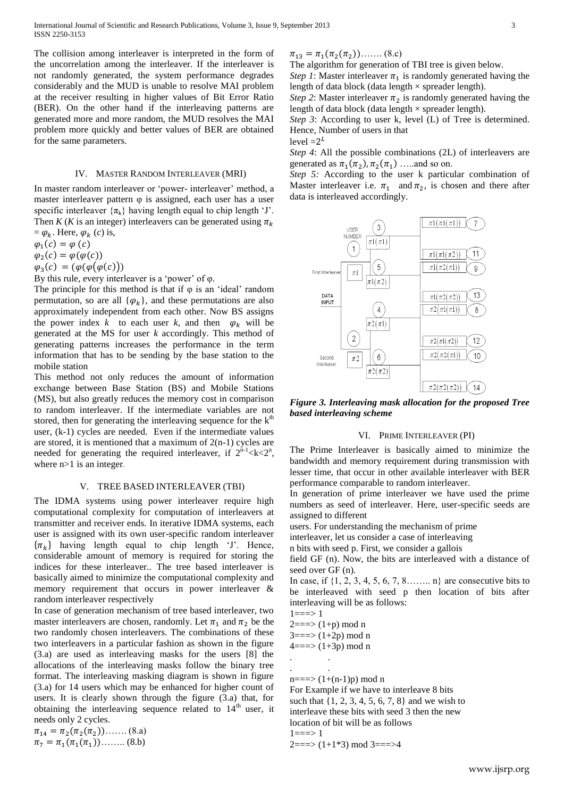The collision among interleaver is interpreted in the form of the uncorrelation among the interleaver. If the interleaver is not randomly generated, the system performance degrades considerably and the MUD is unable to resolve MAI problem at the receiver resulting in higher values of Bit Error Ratio (BER). On the other hand if the interleaving patterns are generated more and more random, the MUD resolves the MAI problem more quickly and better values of BER are obtained for the same parameters.

#### IV. MASTER RANDOM INTERLEAVER (MRI)

In master random interleaver or 'power- interleaver' method, a master interleaver pattern φ is assigned, each user has a user specific interleaver  $\{\pi_k\}$  having length equal to chip length 'J'. Then *K* (*K* is an integer) interleavers can be generated using  $\pi_k$  $= \varphi_k$ . Here,  $\varphi_k$  (*c*) is,

 $\varphi_1 ( c ) = \varphi ( c )$ 

 $\varphi_2 (c) = \varphi (\varphi (c))$ 

 $\varphi_3(c) = (\varphi(\varphi(\varphi(c)))$ 

By this rule, every interleaver is a 'power' of φ.

The principle for this method is that if  $\varphi$  is an 'ideal' random permutation, so are all  $\{\varphi_k\}$ , and these permutations are also approximately independent from each other. Now BS assigns the power index *k* to each user *k*, and then  $\varphi_k$  will be generated at the MS for user *k* accordingly. This method of generating patterns increases the performance in the term information that has to be sending by the base station to the mobile station

This method not only reduces the amount of information exchange between Base Station (BS) and Mobile Stations (MS), but also greatly reduces the memory cost in comparison to random interleaver. If the intermediate variables are not stored, then for generating the interleaving sequence for the  $k<sup>th</sup>$ user, (k-1) cycles are needed. Even if the intermediate values are stored, it is mentioned that a maximum of  $2(n-1)$  cycles are needed for generating the required interleaver, if  $2^{n-1} < k < 2^n$ , where n>1 is an integer*.*

#### V. TREE BASED INTERLEAVER (TBI)

The IDMA systems using power interleaver require high computational complexity for computation of interleavers at transmitter and receiver ends. In iterative IDMA systems, each user is assigned with its own user-specific random interleaver  $\{\pi_k\}$  having length equal to chip length 'J'. Hence, considerable amount of memory is required for storing the indices for these interleaver.. The tree based interleaver is basically aimed to minimize the computational complexity and memory requirement that occurs in power interleaver & random interleaver respectively

In case of generation mechanism of tree based interleaver, two master interleavers are chosen, randomly. Let  $\pi_1$  and  $\pi_2$  be the two randomly chosen interleavers. The combinations of these two interleavers in a particular fashion as shown in the figure (3.a) are used as interleaving masks for the users [8] the allocations of the interleaving masks follow the binary tree format. The interleaving masking diagram is shown in figure (3.a) for 14 users which may be enhanced for higher count of users. It is clearly shown through the figure (3.a) that, for obtaining the interleaving sequence related to  $14<sup>th</sup>$  user, it needs only 2 cycles.

 $\pi_{14} = \pi_2(\pi_2(\pi_2)) \dots (8a)$  $\pi_7 = \pi_1(\pi_1(\pi_1)) \dots (8.b)$ 

 $\pi_{13} = \pi_1(\pi_2(\pi_2)) \dots (8.c)$ 

The algorithm for generation of TBI tree is given below.

*Step 1*: Master interleaver  $\pi_1$  is randomly generated having the length of data block (data length  $\times$  spreader length).

*Step 2*: Master interleaver  $\pi_2$  is randomly generated having the length of data block (data length  $\times$  spreader length).

*Step 3*: According to user k, level (L) of Tree is determined. Hence, Number of users in that

level  $=2^L$ 

*Step 4*: All the possible combinations (2L) of interleavers are generated as  $\pi_1(\pi_2)$ ,  $\pi_2(\pi_1)$  .....and so on.

*Step 5:* According to the user k particular combination of Master interleaver i.e.  $\pi_1$  and  $\pi_2$ , is chosen and there after data is interleaved accordingly.



*Figure 3. Interleaving mask allocation for the proposed Tree based interleaving scheme*

# VI. PRIME INTERLEAVER (PI)

The Prime Interleaver is basically aimed to minimize the bandwidth and memory requirement during transmission with lesser time, that occur in other available interleaver with BER performance comparable to random interleaver.

In generation of prime interleaver we have used the prime numbers as seed of interleaver. Here, user-specific seeds are assigned to different

users. For understanding the mechanism of prime

interleaver, let us consider a case of interleaving

n bits with seed p. First, we consider a gallois

field GF (n). Now, the bits are interleaved with a distance of seed over GF (n).

In case, if  $\{1, 2, 3, 4, 5, 6, 7, 8, \ldots \}$  are consecutive bits to be interleaved with seed p then location of bits after interleaving will be as follows:

 $1 = 1$ 

 $2 == \ge (1+p) \mod n$ 

 $3 = 3$  (1+2p) mod n

 $4 == \ge (1+3p) \mod n$ 

. . . .

n===>  $(1+(n-1)p) \mod n$ 

For Example if we have to interleave 8 bits such that {1, 2, 3, 4, 5, 6, 7, 8} and we wish to interleave these bits with seed 3 then the new location of bit will be as follows

 $1 = - > 1$ 

 $2 == \geq (1+1*3) \mod 3 == \geq 4$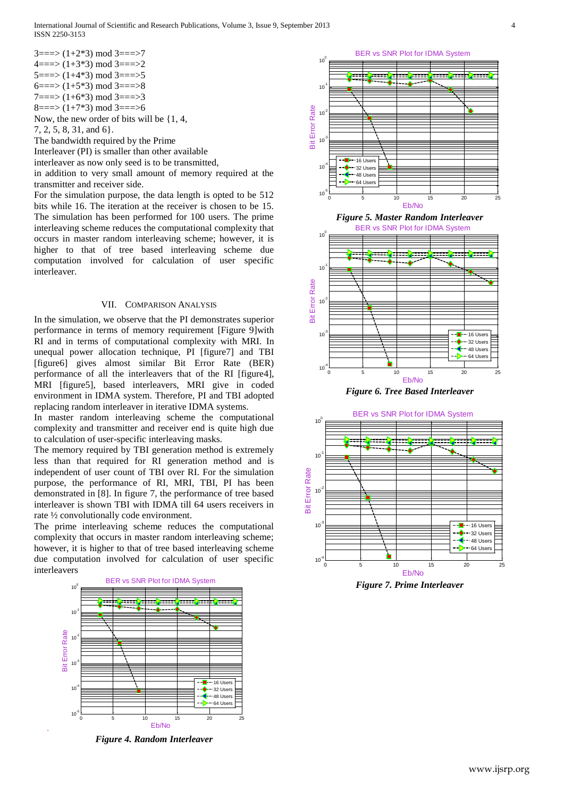International Journal of Scientific and Research Publications, Volume 3, Issue 9, September 2013 4 ISSN 2250-3153

 $3 == > (1+2*3) \mod 3 == > 7$  $4=\equiv>(1+3*3) \mod 3=\equiv>=2$  $5 = \equiv > (1 + 4 * 3) \mod 3 = \equiv > 5$ 6===>  $(1+5*3)$  mod 3===>8  $7 == > (1+6*3) \text{ mod } 3 == > 3$  $8 == > (1 + 7 * 3) \mod 3 == > 6$ 

Now, the new order of bits will be {1, 4,

7, 2, 5, 8, 31, and 6}.

The bandwidth required by the Prime

Interleaver (PI) is smaller than other available

interleaver as now only seed is to be transmitted,

in addition to very small amount of memory required at the transmitter and receiver side.

For the simulation purpose, the data length is opted to be 512 bits while 16. The iteration at the receiver is chosen to be 15. The simulation has been performed for 100 users. The prime interleaving scheme reduces the computational complexity that occurs in master random interleaving scheme; however, it is higher to that of tree based interleaving scheme due computation involved for calculation of user specific interleaver.

#### VII. COMPARISON ANALYSIS

In the simulation, we observe that the PI demonstrates superior performance in terms of memory requirement [Figure 9]with RI and in terms of computational complexity with MRI. In unequal power allocation technique, PI [figure7] and TBI [figure6] gives almost similar Bit Error Rate (BER) performance of all the interleavers that of the RI [figure4], MRI [figure5], based interleavers, MRI give in coded environment in IDMA system. Therefore, PI and TBI adopted replacing random interleaver in iterative IDMA systems.

In master random interleaving scheme the computational complexity and transmitter and receiver end is quite high due to calculation of user-specific interleaving masks.

The memory required by TBI generation method is extremely less than that required for RI generation method and is independent of user count of TBI over RI. For the simulation purpose, the performance of RI, MRI, TBI, PI has been demonstrated in [8]. In figure 7, the performance of tree based interleaver is shown TBI with IDMA till 64 users receivers in rate ½ convolutionally code environment.

The prime interleaving scheme reduces the computational complexity that occurs in master random interleaving scheme; however, it is higher to that of tree based interleaving scheme due computation involved for calculation of user specific interleavers



*Figure 4. Random Interleaver*

.



*Figure 6. Tree Based Interleaver*



*Figure 7. Prime Interleaver*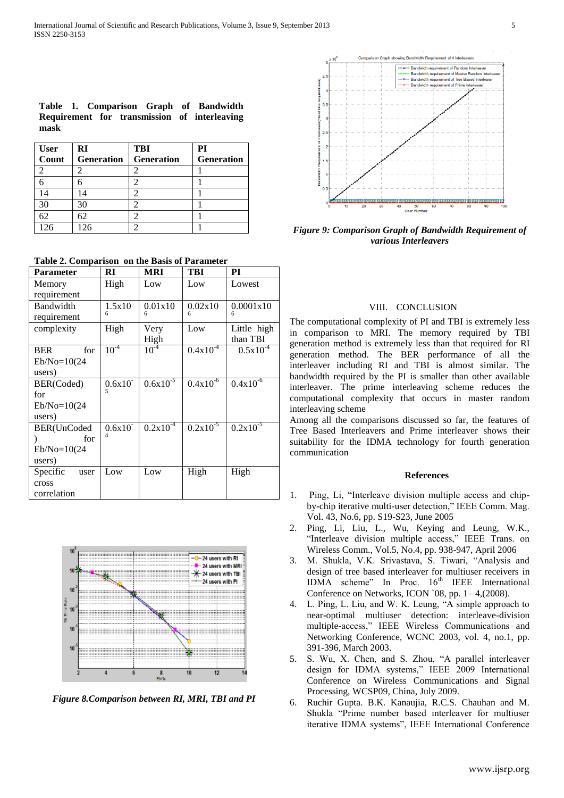|      |  |  |  | Table 1. Comparison Graph of Bandwidth       |
|------|--|--|--|----------------------------------------------|
|      |  |  |  | Requirement for transmission of interleaving |
| mask |  |  |  |                                              |

| User<br>Count | RI                | <b>TBI</b>        | PI         |
|---------------|-------------------|-------------------|------------|
|               | <b>Generation</b> | <b>Generation</b> | Generation |
|               |                   |                   |            |
|               |                   |                   |            |
| 14            |                   |                   |            |
| 30            | 30                |                   |            |
| 62            |                   |                   |            |
| 126           | 126               |                   |            |

**Table 2. Comparison on the Basis of Parameter**

| <b>Parameter</b>  | RI             | MRI           | TBI           | РI            |
|-------------------|----------------|---------------|---------------|---------------|
| Memory            | High           | Low           | Low           | Lowest        |
| requirement       |                |               |               |               |
| Bandwidth         | 1.5x10         | 0.01x10       | 0.02x10       | 0.0001x10     |
| requirement       | 6              | 6             | 6             |               |
| complexity        | High           | Very          | Low           | Little high   |
|                   |                | High          |               | than TBI      |
| <b>BER</b><br>for | $10^{-4}$      | $10^{-4}$     | $0.4x10^{4}$  | $0.5x10^{-4}$ |
| $Eb/No=10(24)$    |                |               |               |               |
| users)            |                |               |               |               |
| BER(Coded)        | $0.6x10^{-}$   | $0.6x10^{-5}$ | $0.4x10^{-6}$ | $0.4x10^{-6}$ |
| for               | 5              |               |               |               |
| $Eb/No=10(24)$    |                |               |               |               |
| users)            |                |               |               |               |
| BER(UnCoded       | $0.6x10^{-}$   | $0.2x10^{-4}$ | $0.2x10^{-5}$ | $0.2x10^{-5}$ |
| for               | $\overline{4}$ |               |               |               |
| $Eb/No=10(24)$    |                |               |               |               |
| users)            |                |               |               |               |
| Specific<br>user  | Low            | Low           | High          | High          |
| cross             |                |               |               |               |
| correlation       |                |               |               |               |



*Figure 8.Comparison between RI, MRI, TBI and PI*



*Figure 9: Comparison Graph of Bandwidth Requirement of various Interleavers*

# VIII. CONCLUSION

The computational complexity of PI and TBI is extremely less in comparison to MRI. The memory required by TBI generation method is extremely less than that required for RI generation method. The BER performance of all the interleaver including RI and TBI is almost similar. The bandwidth required by the PI is smaller than other available interleaver. The prime interleaving scheme reduces the computational complexity that occurs in master random interleaving scheme

Among all the comparisons discussed so far, the features of Tree Based Interleavers and Prime interleaver shows their suitability for the IDMA technology for fourth generation communication

# **References**

- 1. Ping, Li, "Interleave division multiple access and chipby-chip iterative multi-user detection," IEEE Comm. Mag. Vol. 43, No.6, pp. S19-S23, June 2005
- 2. Ping, Li, Liu, L., Wu, Keying and Leung, W.K., "Interleave division multiple access," IEEE Trans. on Wireless Comm., Vol.5, No.4, pp. 938-947, April 2006
- 3. M. Shukla, V.K. Srivastava, S. Tiwari, "Analysis and design of tree based interleaver for multiuser receivers in IDMA scheme" In Proc. 16<sup>th</sup> IEEE International Conference on Networks, ICON `08, pp. 1– 4,(2008).
- 4. L. Ping, L. Liu, and W. K. Leung, "A simple approach to near-optimal multiuser detection: interleave-division multiple-access," IEEE Wireless Communications and Networking Conference, WCNC 2003, vol. 4, no.1, pp. 391-396, March 2003.
- 5. S. Wu, X. Chen, and S. Zhou, "A parallel interleaver design for IDMA systems," IEEE 2009 International Conference on Wireless Communications and Signal Processing, WCSP09, China, July 2009.
- 6. Ruchir Gupta. B.K. Kanaujia, R.C.S. Chauhan and M. Shukla "Prime number based interleaver for multiuser iterative IDMA systems", IEEE International Conference